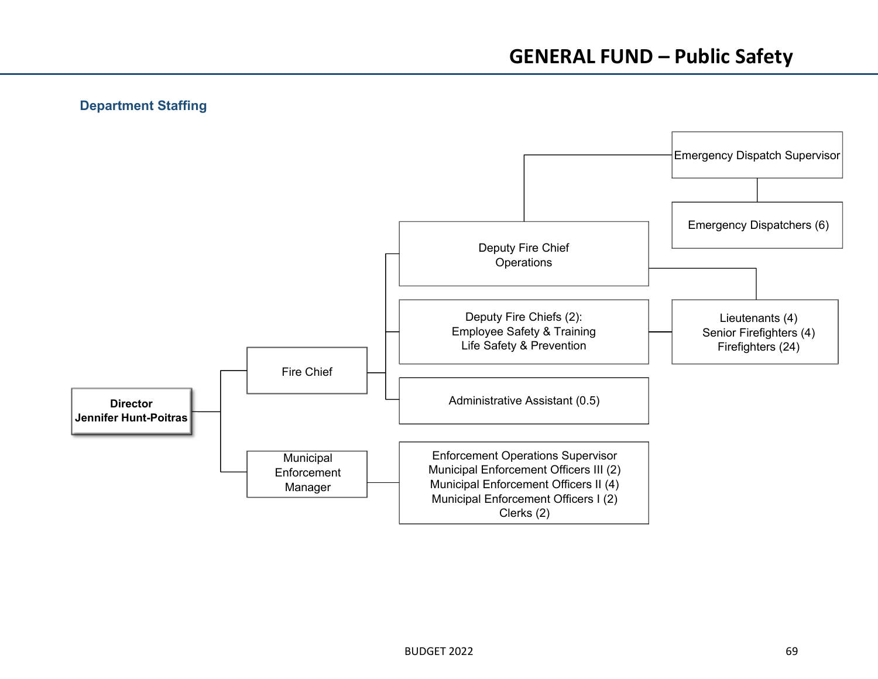# **Department Staffing**

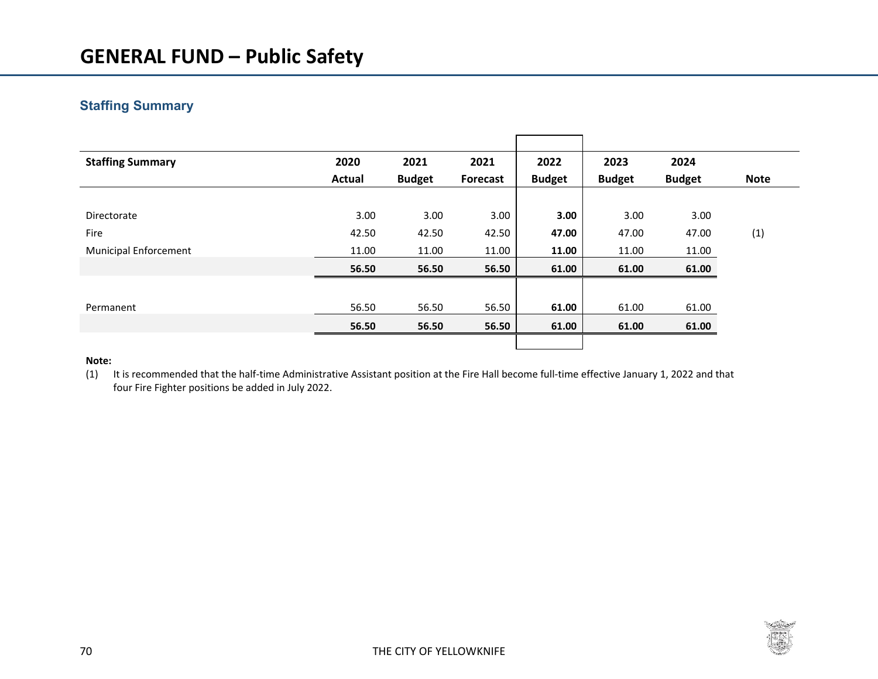# **Staffing Summary**

| <b>Staffing Summary</b>      | 2020   | 2021          | 2021     | 2022          | 2023          | 2024          |             |
|------------------------------|--------|---------------|----------|---------------|---------------|---------------|-------------|
|                              | Actual | <b>Budget</b> | Forecast | <b>Budget</b> | <b>Budget</b> | <b>Budget</b> | <b>Note</b> |
|                              |        |               |          |               |               |               |             |
| Directorate                  | 3.00   | 3.00          | 3.00     | 3.00          | 3.00          | 3.00          |             |
| Fire                         | 42.50  | 42.50         | 42.50    | 47.00         | 47.00         | 47.00         | (1)         |
| <b>Municipal Enforcement</b> | 11.00  | 11.00         | 11.00    | 11.00         | 11.00         | 11.00         |             |
|                              | 56.50  | 56.50         | 56.50    | 61.00         | 61.00         | 61.00         |             |
|                              |        |               |          |               |               |               |             |
| Permanent                    | 56.50  | 56.50         | 56.50    | 61.00         | 61.00         | 61.00         |             |
|                              | 56.50  | 56.50         | 56.50    | 61.00         | 61.00         | 61.00         |             |
|                              |        |               |          |               |               |               |             |

#### **Note:**

(1) It is recommended that the half‐time Administrative Assistant position at the Fire Hall become full‐time effective January 1, 2022 and that four Fire Fighter positions be added in July 2022.

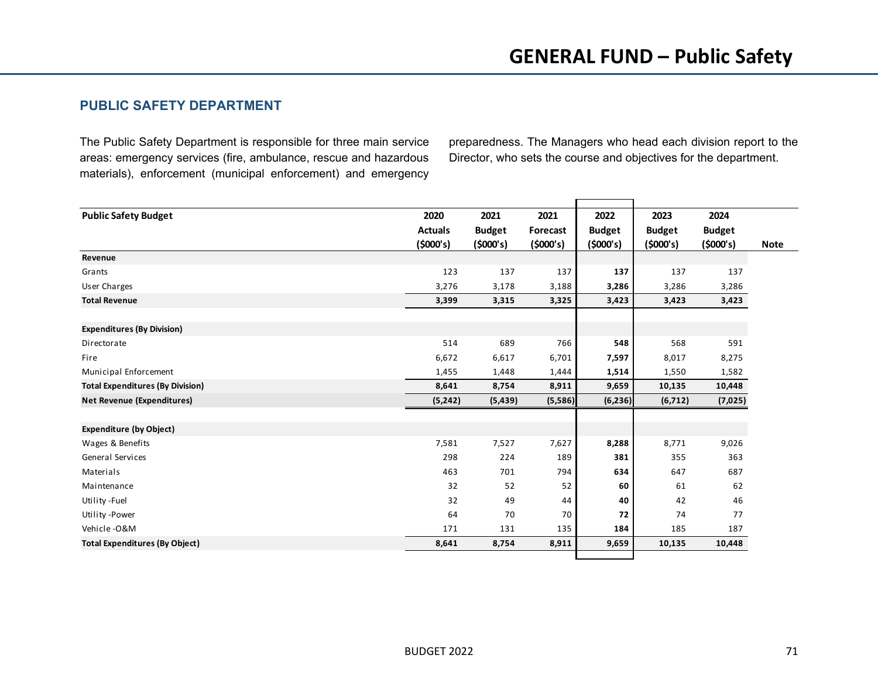## **PUBLIC SAFETY DEPARTMENT**

The Public Safety Department is responsible for three main service areas: emergency services (fire, ambulance, rescue and hazardous materials), enforcement (municipal enforcement) and emergency preparedness. The Managers who head each division report to the Director, who sets the course and objectives for the department.

| <b>Public Safety Budget</b>             | 2020           | 2021          | 2021     | 2022          | 2023          | 2024          |             |
|-----------------------------------------|----------------|---------------|----------|---------------|---------------|---------------|-------------|
|                                         | <b>Actuals</b> | <b>Budget</b> | Forecast | <b>Budget</b> | <b>Budget</b> | <b>Budget</b> |             |
|                                         | (5000's)       | (5000's)      | (5000's) | (5000's)      | (5000's)      | (5000's)      | <b>Note</b> |
| Revenue                                 |                |               |          |               |               |               |             |
| Grants                                  | 123            | 137           | 137      | 137           | 137           | 137           |             |
| User Charges                            | 3,276          | 3,178         | 3,188    | 3,286         | 3,286         | 3,286         |             |
| <b>Total Revenue</b>                    | 3,399          | 3,315         | 3,325    | 3,423         | 3,423         | 3,423         |             |
|                                         |                |               |          |               |               |               |             |
| <b>Expenditures (By Division)</b>       |                |               |          |               |               |               |             |
| Directorate                             | 514            | 689           | 766      | 548           | 568           | 591           |             |
| Fire                                    | 6,672          | 6,617         | 6,701    | 7,597         | 8,017         | 8,275         |             |
| Municipal Enforcement                   | 1,455          | 1,448         | 1,444    | 1,514         | 1,550         | 1,582         |             |
| <b>Total Expenditures (By Division)</b> | 8,641          | 8,754         | 8,911    | 9,659         | 10,135        | 10,448        |             |
| <b>Net Revenue (Expenditures)</b>       | (5,242)        | (5, 439)      | (5,586)  | (6, 236)      | (6, 712)      | (7,025)       |             |
|                                         |                |               |          |               |               |               |             |
| <b>Expenditure (by Object)</b>          |                |               |          |               |               |               |             |
| Wages & Benefits                        | 7,581          | 7,527         | 7,627    | 8,288         | 8,771         | 9,026         |             |
| General Services                        | 298            | 224           | 189      | 381           | 355           | 363           |             |
| Materials                               | 463            | 701           | 794      | 634           | 647           | 687           |             |
| Maintenance                             | 32             | 52            | 52       | 60            | 61            | 62            |             |
| Utility -Fuel                           | 32             | 49            | 44       | 40            | 42            | 46            |             |
| Utility -Power                          | 64             | 70            | 70       | 72            | 74            | 77            |             |
| Vehicle-O&M                             | 171            | 131           | 135      | 184           | 185           | 187           |             |
| <b>Total Expenditures (By Object)</b>   | 8,641          | 8,754         | 8,911    | 9,659         | 10,135        | 10,448        |             |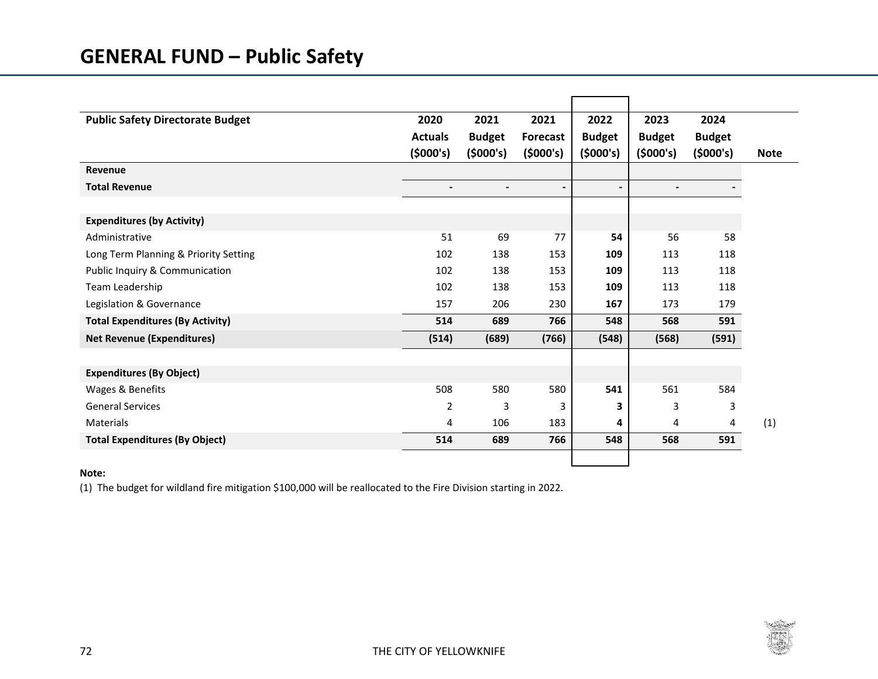| <b>Public Safety Directorate Budget</b> | 2020                     | 2021                     | 2021            | 2022                     | 2023          | 2024          |             |
|-----------------------------------------|--------------------------|--------------------------|-----------------|--------------------------|---------------|---------------|-------------|
|                                         | <b>Actuals</b>           | <b>Budget</b>            | <b>Forecast</b> | <b>Budget</b>            | <b>Budget</b> | <b>Budget</b> |             |
|                                         | (5000's)                 | (5000's)                 | (5000's)        | (5000's)                 | (5000's)      | (5000's)      | <b>Note</b> |
| Revenue                                 |                          |                          |                 |                          |               |               |             |
| <b>Total Revenue</b>                    | $\overline{\phantom{a}}$ | $\overline{\phantom{a}}$ | $\blacksquare$  | $\overline{\phantom{a}}$ |               |               |             |
|                                         |                          |                          |                 |                          |               |               |             |
| <b>Expenditures (by Activity)</b>       |                          |                          |                 |                          |               |               |             |
| Administrative                          | 51                       | 69                       | 77              | 54                       | 56            | 58            |             |
| Long Term Planning & Priority Setting   | 102                      | 138                      | 153             | 109                      | 113           | 118           |             |
| Public Inquiry & Communication          | 102                      | 138                      | 153             | 109                      | 113           | 118           |             |
| Team Leadership                         | 102                      | 138                      | 153             | 109                      | 113           | 118           |             |
| Legislation & Governance                | 157                      | 206                      | 230             | 167                      | 173           | 179           |             |
| <b>Total Expenditures (By Activity)</b> | 514                      | 689                      | 766             | 548                      | 568           | 591           |             |
| <b>Net Revenue (Expenditures)</b>       | (514)                    | (689)                    | (766)           | (548)                    | (568)         | (591)         |             |
|                                         |                          |                          |                 |                          |               |               |             |
| <b>Expenditures (By Object)</b>         |                          |                          |                 |                          |               |               |             |
| Wages & Benefits                        | 508                      | 580                      | 580             | 541                      | 561           | 584           |             |
| <b>General Services</b>                 | $\overline{2}$           | 3                        | 3               | 3                        | 3             | 3             |             |
| Materials                               | 4                        | 106                      | 183             | 4                        | 4             | 4             | (1)         |
| <b>Total Expenditures (By Object)</b>   | 514                      | 689                      | 766             | 548                      | 568           | 591           |             |
|                                         |                          |                          |                 |                          |               |               |             |

## **Note:**

(1) The budget for wildland fire mitigation \$100,000 will be reallocated to the Fire Division starting in 2022.

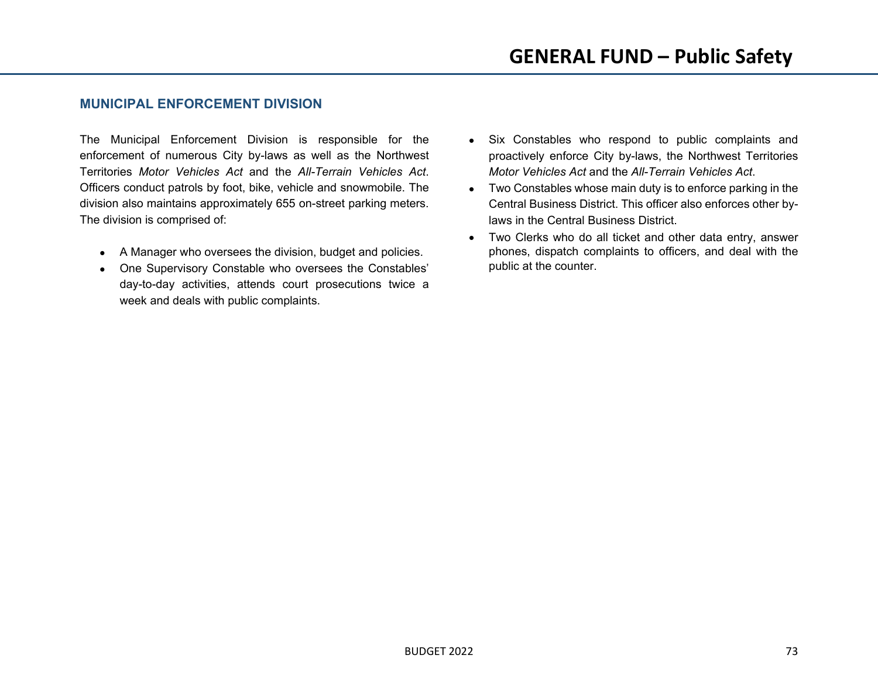## **MUNICIPAL ENFORCEMENT DIVISION**

The Municipal Enforcement Division is responsible for the enforcement of numerous City by-laws as well as the Northwest Territories *Motor Vehicles Act* and the *All-Terrain Vehicles Act*. Officers conduct patrols by foot, bike, vehicle and snowmobile. The division also maintains approximately 655 on-street parking meters. The division is comprised of:

- A Manager who oversees the division, budget and policies.
- One Supervisory Constable who oversees the Constables' day-to-day activities, attends court prosecutions twice a week and deals with public complaints.
- Six Constables who respond to public complaints and proactively enforce City by-laws, the Northwest Territories *Motor Vehicles Act* and the *All-Terrain Vehicles Act*.
- Two Constables whose main duty is to enforce parking in the Central Business District. This officer also enforces other bylaws in the Central Business District.
- Two Clerks who do all ticket and other data entry, answer phones, dispatch complaints to officers, and deal with the public at the counter.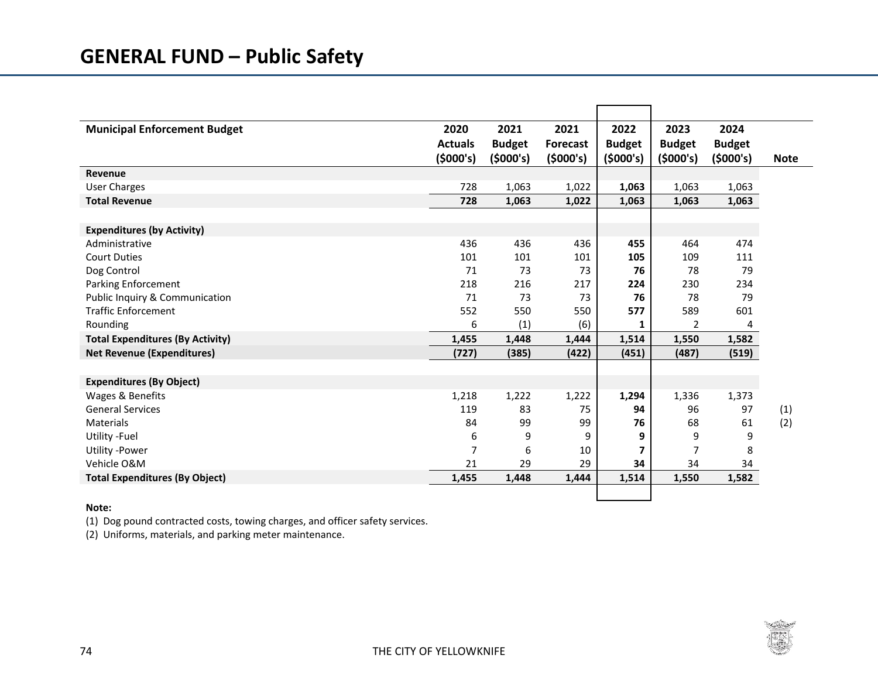| <b>Municipal Enforcement Budget</b>     | 2020           | 2021          | 2021            | 2022          | 2023           | 2024          |             |
|-----------------------------------------|----------------|---------------|-----------------|---------------|----------------|---------------|-------------|
|                                         | <b>Actuals</b> | <b>Budget</b> | <b>Forecast</b> | <b>Budget</b> | <b>Budget</b>  | <b>Budget</b> |             |
|                                         | (5000's)       | (5000's)      | (5000's)        | (5000's)      | (5000's)       | (5000's)      | <b>Note</b> |
| Revenue                                 |                |               |                 |               |                |               |             |
| <b>User Charges</b>                     | 728            | 1,063         | 1,022           | 1,063         | 1,063          | 1,063         |             |
| <b>Total Revenue</b>                    | 728            | 1,063         | 1,022           | 1,063         | 1,063          | 1,063         |             |
|                                         |                |               |                 |               |                |               |             |
| <b>Expenditures (by Activity)</b>       |                |               |                 |               |                |               |             |
| Administrative                          | 436            | 436           | 436             | 455           | 464            | 474           |             |
| <b>Court Duties</b>                     | 101            | 101           | 101             | 105           | 109            | 111           |             |
| Dog Control                             | 71             | 73            | 73              | 76            | 78             | 79            |             |
| <b>Parking Enforcement</b>              | 218            | 216           | 217             | 224           | 230            | 234           |             |
| Public Inquiry & Communication          | 71             | 73            | 73              | 76            | 78             | 79            |             |
| <b>Traffic Enforcement</b>              | 552            | 550           | 550             | 577           | 589            | 601           |             |
| Rounding                                | 6              | (1)           | (6)             | 1             | $\overline{2}$ | 4             |             |
| <b>Total Expenditures (By Activity)</b> | 1,455          | 1,448         | 1,444           | 1,514         | 1,550          | 1,582         |             |
| <b>Net Revenue (Expenditures)</b>       | (727)          | (385)         | (422)           | (451)         | (487)          | (519)         |             |
|                                         |                |               |                 |               |                |               |             |
| <b>Expenditures (By Object)</b>         |                |               |                 |               |                |               |             |
| Wages & Benefits                        | 1,218          | 1,222         | 1,222           | 1,294         | 1,336          | 1,373         |             |
| <b>General Services</b>                 | 119            | 83            | 75              | 94            | 96             | 97            | (1)         |
| Materials                               | 84             | 99            | 99              | 76            | 68             | 61            | (2)         |
| Utility - Fuel                          | 6              | 9             | 9               | 9             | 9              | 9             |             |
| <b>Utility -Power</b>                   | 7              | 6             | 10              | 7             | $\overline{7}$ | 8             |             |
| Vehicle O&M                             | 21             | 29            | 29              | 34            | 34             | 34            |             |
| <b>Total Expenditures (By Object)</b>   | 1,455          | 1,448         | 1,444           | 1,514         | 1,550          | 1,582         |             |
|                                         |                |               |                 |               |                |               |             |

#### **Note:**

(1) Dog pound contracted costs, towing charges, and officer safety services.

(2) Uniforms, materials, and parking meter maintenance.

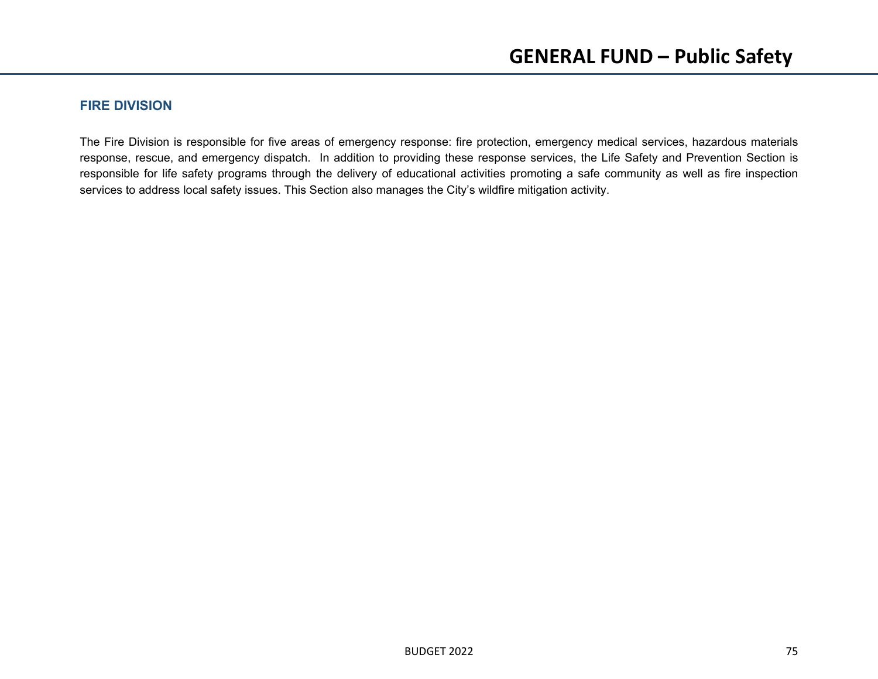## **FIRE DIVISION**

The Fire Division is responsible for five areas of emergency response: fire protection, emergency medical services, hazardous materials response, rescue, and emergency dispatch. In addition to providing these response services, the Life Safety and Prevention Section is responsible for life safety programs through the delivery of educational activities promoting a safe community as well as fire inspection services to address local safety issues. This Section also manages the City's wildfire mitigation activity.